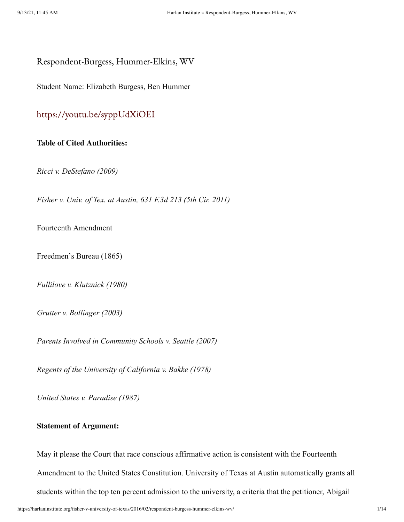Respondent-Burgess, Hummer-Elkins, WV

Student Name: Elizabeth Burgess, Ben Hummer

# <https://youtu.be/syppUdXiOEI>

# **Table of Cited Authorities:**

*Ricci v. DeStefano (2009)*

*Fisher v. Univ. of Tex. at Austin, 631 F.3d 213 (5th Cir. 2011)*

Fourteenth Amendment

Freedmen's Bureau (1865)

*Fullilove v. Klutznick (1980)*

*Grutter v. Bollinger (2003)*

*Parents Involved in Community Schools v. Seattle (2007)*

*Regents of the University of California v. Bakke (1978)*

*United States v. Paradise (1987)*

### **Statement of Argument:**

May it please the Court that race conscious affirmative action is consistent with the Fourteenth Amendment to the United States Constitution. University of Texas at Austin automatically grants all students within the top ten percent admission to the university, a criteria that the petitioner, Abigail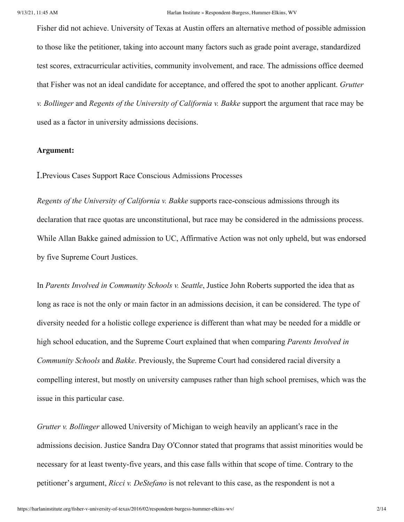Fisher did not achieve. University of Texas at Austin offers an alternative method of possible admission to those like the petitioner, taking into account many factors such as grade point average, standardized test scores, extracurricular activities, community involvement, and race. The admissions office deemed that Fisher was not an ideal candidate for acceptance, and offered the spot to another applicant. *Grutter v. Bollinger* and *Regents of the University of California v. Bakke* support the argument that race may be used as a factor in university admissions decisions.

# **Argument:**

I.Previous Cases Support Race Conscious Admissions Processes

*Regents of the University of California v. Bakke* supports race-conscious admissions through its declaration that race quotas are unconstitutional, but race may be considered in the admissions process. While Allan Bakke gained admission to UC, Affirmative Action was not only upheld, but was endorsed by five Supreme Court Justices.

In *Parents Involved in Community Schools v. Seattle*, Justice John Roberts supported the idea that as long as race is not the only or main factor in an admissions decision, it can be considered. The type of diversity needed for a holistic college experience is different than what may be needed for a middle or high school education, and the Supreme Court explained that when comparing *Parents Involved in Community Schools* and *Bakke*. Previously, the Supreme Court had considered racial diversity a compelling interest, but mostly on university campuses rather than high school premises, which was the issue in this particular case.

*Grutter v. Bollinger* allowed University of Michigan to weigh heavily an applicant's race in the admissions decision. Justice Sandra Day O'Connor stated that programs that assist minorities would be necessary for at least twenty-five years, and this case falls within that scope of time. Contrary to the petitioner's argument, *Ricci v. DeStefano* is not relevant to this case, as the respondent is not a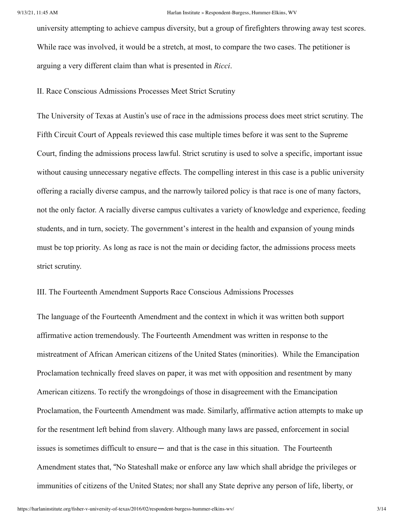university attempting to achieve campus diversity, but a group of firefighters throwing away test scores. While race was involved, it would be a stretch, at most, to compare the two cases. The petitioner is arguing a very different claim than what is presented in *Ricci*.

II. Race Conscious Admissions Processes Meet Strict Scrutiny

The University of Texas at Austin's use of race in the admissions process does meet strict scrutiny. The Fifth Circuit Court of Appeals reviewed this case multiple times before it was sent to the Supreme Court, finding the admissions process lawful. Strict scrutiny is used to solve a specific, important issue without causing unnecessary negative effects. The compelling interest in this case is a public university offering a racially diverse campus, and the narrowly tailored policy is that race is one of many factors, not the only factor. A racially diverse campus cultivates a variety of knowledge and experience, feeding students, and in turn, society. The government's interest in the health and expansion of young minds must be top priority. As long as race is not the main or deciding factor, the admissions process meets strict scrutiny.

III. The Fourteenth Amendment Supports Race Conscious Admissions Processes

The language of the Fourteenth Amendment and the context in which it was written both support affirmative action tremendously. The Fourteenth Amendment was written in response to the mistreatment of African American citizens of the United States (minorities). While the Emancipation Proclamation technically freed slaves on paper, it was met with opposition and resentment by many American citizens. To rectify the wrongdoings of those in disagreement with the Emancipation Proclamation, the Fourteenth Amendment was made. Similarly, affirmative action attempts to make up for the resentment left behind from slavery. Although many laws are passed, enforcement in social issues is sometimes difficult to ensure— and that is the case in this situation. The Fourteenth Amendment states that, "No Stateshall make or enforce any law which shall abridge the privileges or immunities of citizens of the United States; nor shall any State deprive any person of life, liberty, or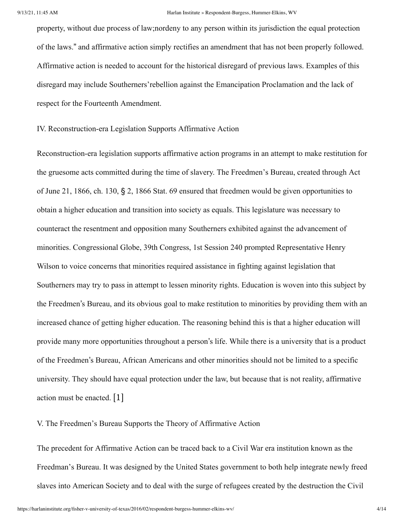property, without due process of law;nordeny to any person within its jurisdiction the equal protection of the laws." and affirmative action simply rectifies an amendment that has not been properly followed. Affirmative action is needed to account for the historical disregard of previous laws. Examples of this disregard may include Southerners'rebellion against the Emancipation Proclamation and the lack of respect for the Fourteenth Amendment.

IV. Reconstruction-era Legislation Supports Affirmative Action

Reconstruction-era legislation supports affirmative action programs in an attempt to make restitution for the gruesome acts committed during the time of slavery. The Freedmen's Bureau, created through Act of June 21, 1866, ch. 130, § 2, 1866 Stat. 69 ensured that freedmen would be given opportunities to obtain a higher education and transition into society as equals. This legislature was necessary to counteract the resentment and opposition many Southerners exhibited against the advancement of minorities. Congressional Globe, 39th Congress, 1st Session 240 prompted Representative Henry Wilson to voice concerns that minorities required assistance in fighting against legislation that Southerners may try to pass in attempt to lessen minority rights. Education is woven into this subject by the Freedmen's Bureau, and its obvious goal to make restitution to minorities by providing them with an increased chance of getting higher education. The reasoning behind this is that a higher education will provide many more opportunities throughout a person's life. While there is a university that is a product of the Freedmen's Bureau, African Americans and other minorities should not be limited to a specific university. They should have equal protection under the law, but because that is not reality, affirmative action must be enacted. [1]

<span id="page-3-0"></span>V. The Freedmen's Bureau Supports the Theory of Affirmative Action

The precedent for Affirmative Action can be traced back to a Civil War era institution known as the Freedman's Bureau. It was designed by the United States government to both help integrate newly freed slaves into American Society and to deal with the surge of refugees created by the destruction the Civil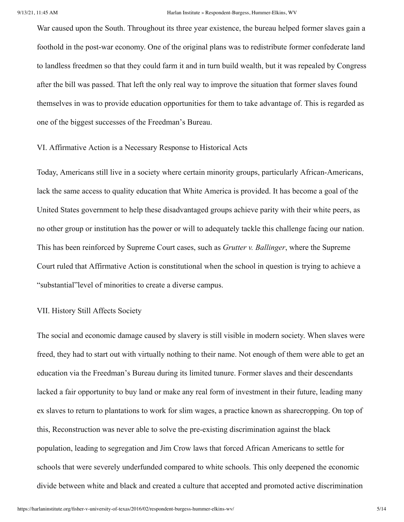War caused upon the South. Throughout its three year existence, the bureau helped former slaves gain a foothold in the post-war economy. One of the original plans was to redistribute former confederate land to landless freedmen so that they could farm it and in turn build wealth, but it was repealed by Congress after the bill was passed. That left the only real way to improve the situation that former slaves found themselves in was to provide education opportunities for them to take advantage of. This is regarded as one of the biggest successes of the Freedman's Bureau.

#### VI. Affirmative Action is a Necessary Response to Historical Acts

Today, Americans still live in a society where certain minority groups, particularly African-Americans, lack the same access to quality education that White America is provided. It has become a goal of the United States government to help these disadvantaged groups achieve parity with their white peers, as no other group or institution has the power or will to adequately tackle this challenge facing our nation. This has been reinforced by Supreme Court cases, such as *Grutter v. Ballinger*, where the Supreme Court ruled that Affirmative Action is constitutional when the school in question is trying to achieve a "substantial"level of minorities to create a diverse campus.

#### VII. History Still Affects Society

The social and economic damage caused by slavery is still visible in modern society. When slaves were freed, they had to start out with virtually nothing to their name. Not enough of them were able to get an education via the Freedman's Bureau during its limited tunure. Former slaves and their descendants lacked a fair opportunity to buy land or make any real form of investment in their future, leading many ex slaves to return to plantations to work for slim wages, a practice known as sharecropping. On top of this, Reconstruction was never able to solve the pre-existing discrimination against the black population, leading to segregation and Jim Crow laws that forced African Americans to settle for schools that were severely underfunded compared to white schools. This only deepened the economic divide between white and black and created a culture that accepted and promoted active discrimination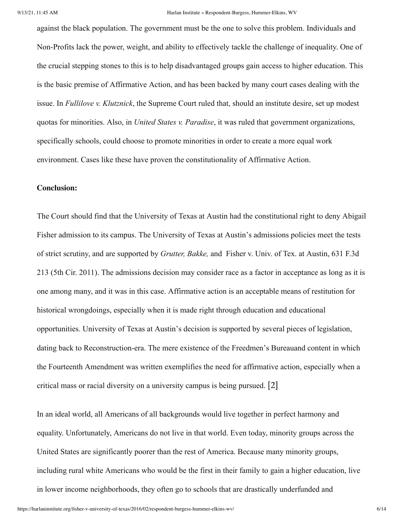against the black population. The government must be the one to solve this problem. Individuals and Non-Profits lack the power, weight, and ability to effectively tackle the challenge of inequality. One of the crucial stepping stones to this is to help disadvantaged groups gain access to higher education. This is the basic premise of Affirmative Action, and has been backed by many court cases dealing with the issue. In *Fullilove v. Klutznick*, the Supreme Court ruled that, should an institute desire, set up modest quotas for minorities. Also, in *United States v. Paradise*, it was ruled that government organizations, specifically schools, could choose to promote minorities in order to create a more equal work environment. Cases like these have proven the constitutionality of Affirmative Action.

#### **Conclusion:**

The Court should find that the University of Texas at Austin had the constitutional right to deny Abigail Fisher admission to its campus. The University of Texas at Austin's admissions policies meet the tests of strict scrutiny, and are supported by *Grutter, Bakke,* and Fisher v. Univ. of Tex. at Austin, 631 F.3d 213 (5th Cir. 2011). The admissions decision may consider race as a factor in acceptance as long as it is one among many, and it was in this case. Affirmative action is an acceptable means of restitution for historical wrongdoings, especially when it is made right through education and educational opportunities. University of Texas at Austin's decision is supported by several pieces of legislation, dating back to Reconstruction-era. The mere existence of the Freedmen's Bureauand content in which the Fourteenth Amendment was written exemplifies the need for affirmative action, especially when a critical mass or racial diversity on a university campus is being pursued. [2]

<span id="page-5-0"></span>In an ideal world, all Americans of all backgrounds would live together in perfect harmony and equality. Unfortunately, Americans do not live in that world. Even today, minority groups across the United States are significantly poorer than the rest of America. Because many minority groups, including rural white Americans who would be the first in their family to gain a higher education, live in lower income neighborhoods, they often go to schools that are drastically underfunded and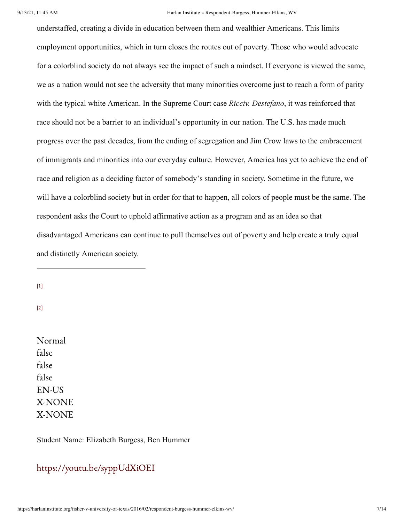understaffed, creating a divide in education between them and wealthier Americans. This limits employment opportunities, which in turn closes the routes out of poverty. Those who would advocate for a colorblind society do not always see the impact of such a mindset. If everyone is viewed the same, we as a nation would not see the adversity that many minorities overcome just to reach a form of parity with the typical white American. In the Supreme Court case *Ricciv. Destefano*, it was reinforced that race should not be a barrier to an individual's opportunity in our nation. The U.S. has made much progress over the past decades, from the ending of segregation and Jim Crow laws to the embracement of immigrants and minorities into our everyday culture. However, America has yet to achieve the end of race and religion as a deciding factor of somebody's standing in society. Sometime in the future, we will have a colorblind society but in order for that to happen, all colors of people must be the same. The respondent asks the Court to uphold affirmative action as a program and as an idea so that disadvantaged Americans can continue to pull themselves out of poverty and help create a truly equal and distinctly American society.

[\[1\]](#page-3-0)

[\[2\]](#page-5-0)

Normal false false false EN-US X-NONE X-NONE

Student Name: Elizabeth Burgess, Ben Hummer

# <https://youtu.be/syppUdXiOEI>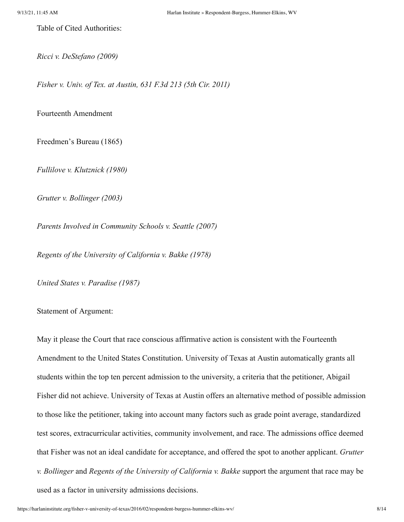Table of Cited Authorities:

*Ricci v. DeStefano (2009)*

*Fisher v. Univ. of Tex. at Austin, 631 F.3d 213 (5th Cir. 2011)*

Fourteenth Amendment

Freedmen's Bureau (1865)

*Fullilove v. Klutznick (1980)*

*Grutter v. Bollinger (2003)*

*Parents Involved in Community Schools v. Seattle (2007)*

*Regents of the University of California v. Bakke (1978)*

*United States v. Paradise (1987)*

Statement of Argument:

May it please the Court that race conscious affirmative action is consistent with the Fourteenth Amendment to the United States Constitution. University of Texas at Austin automatically grants all students within the top ten percent admission to the university, a criteria that the petitioner, Abigail Fisher did not achieve. University of Texas at Austin offers an alternative method of possible admission to those like the petitioner, taking into account many factors such as grade point average, standardized test scores, extracurricular activities, community involvement, and race. The admissions office deemed that Fisher was not an ideal candidate for acceptance, and offered the spot to another applicant. *Grutter v. Bollinger* and *Regents of the University of California v. Bakke* support the argument that race may be used as a factor in university admissions decisions.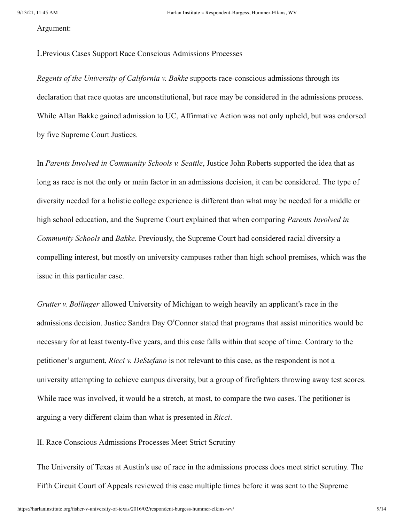Argument:

I.Previous Cases Support Race Conscious Admissions Processes

*Regents of the University of California v. Bakke* supports race-conscious admissions through its declaration that race quotas are unconstitutional, but race may be considered in the admissions process. While Allan Bakke gained admission to UC, Affirmative Action was not only upheld, but was endorsed by five Supreme Court Justices.

In *Parents Involved in Community Schools v. Seattle*, Justice John Roberts supported the idea that as long as race is not the only or main factor in an admissions decision, it can be considered. The type of diversity needed for a holistic college experience is different than what may be needed for a middle or high school education, and the Supreme Court explained that when comparing *Parents Involved in Community Schools* and *Bakke*. Previously, the Supreme Court had considered racial diversity a compelling interest, but mostly on university campuses rather than high school premises, which was the issue in this particular case.

*Grutter v. Bollinger* allowed University of Michigan to weigh heavily an applicant's race in the admissions decision. Justice Sandra Day O'Connor stated that programs that assist minorities would be necessary for at least twenty-five years, and this case falls within that scope of time. Contrary to the petitioner's argument, *Ricci v. DeStefano* is not relevant to this case, as the respondent is not a university attempting to achieve campus diversity, but a group of firefighters throwing away test scores. While race was involved, it would be a stretch, at most, to compare the two cases. The petitioner is arguing a very different claim than what is presented in *Ricci*.

II. Race Conscious Admissions Processes Meet Strict Scrutiny

The University of Texas at Austin's use of race in the admissions process does meet strict scrutiny. The Fifth Circuit Court of Appeals reviewed this case multiple times before it was sent to the Supreme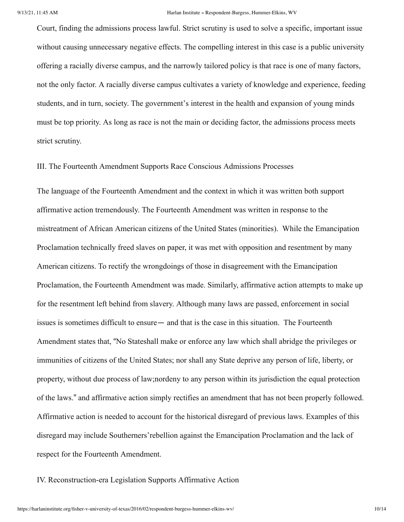Court, finding the admissions process lawful. Strict scrutiny is used to solve a specific, important issue without causing unnecessary negative effects. The compelling interest in this case is a public university offering a racially diverse campus, and the narrowly tailored policy is that race is one of many factors, not the only factor. A racially diverse campus cultivates a variety of knowledge and experience, feeding students, and in turn, society. The government's interest in the health and expansion of young minds must be top priority. As long as race is not the main or deciding factor, the admissions process meets strict scrutiny.

III. The Fourteenth Amendment Supports Race Conscious Admissions Processes

The language of the Fourteenth Amendment and the context in which it was written both support affirmative action tremendously. The Fourteenth Amendment was written in response to the mistreatment of African American citizens of the United States (minorities). While the Emancipation Proclamation technically freed slaves on paper, it was met with opposition and resentment by many American citizens. To rectify the wrongdoings of those in disagreement with the Emancipation Proclamation, the Fourteenth Amendment was made. Similarly, affirmative action attempts to make up for the resentment left behind from slavery. Although many laws are passed, enforcement in social issues is sometimes difficult to ensure— and that is the case in this situation. The Fourteenth Amendment states that, "No Stateshall make or enforce any law which shall abridge the privileges or immunities of citizens of the United States; nor shall any State deprive any person of life, liberty, or property, without due process of law;nordeny to any person within its jurisdiction the equal protection of the laws." and affirmative action simply rectifies an amendment that has not been properly followed. Affirmative action is needed to account for the historical disregard of previous laws. Examples of this disregard may include Southerners'rebellion against the Emancipation Proclamation and the lack of respect for the Fourteenth Amendment.

### IV. Reconstruction-era Legislation Supports Affirmative Action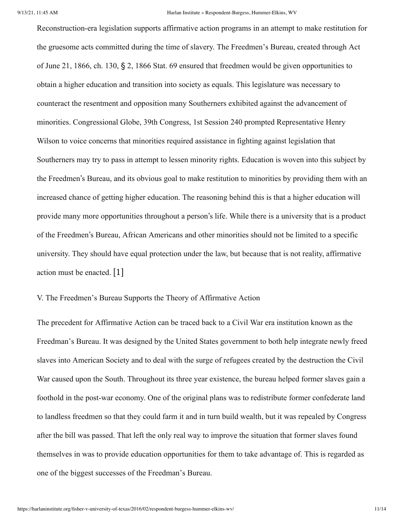Reconstruction-era legislation supports affirmative action programs in an attempt to make restitution for the gruesome acts committed during the time of slavery. The Freedmen's Bureau, created through Act of June 21, 1866, ch. 130, § 2, 1866 Stat. 69 ensured that freedmen would be given opportunities to obtain a higher education and transition into society as equals. This legislature was necessary to counteract the resentment and opposition many Southerners exhibited against the advancement of minorities. Congressional Globe, 39th Congress, 1st Session 240 prompted Representative Henry Wilson to voice concerns that minorities required assistance in fighting against legislation that Southerners may try to pass in attempt to lessen minority rights. Education is woven into this subject by the Freedmen's Bureau, and its obvious goal to make restitution to minorities by providing them with an increased chance of getting higher education. The reasoning behind this is that a higher education will provide many more opportunities throughout a person's life. While there is a university that is a product of the Freedmen's Bureau, African Americans and other minorities should not be limited to a specific university. They should have equal protection under the law, but because that is not reality, affirmative action must be enacted. [1]

# V. The Freedmen's Bureau Supports the Theory of Affirmative Action

The precedent for Affirmative Action can be traced back to a Civil War era institution known as the Freedman's Bureau. It was designed by the United States government to both help integrate newly freed slaves into American Society and to deal with the surge of refugees created by the destruction the Civil War caused upon the South. Throughout its three year existence, the bureau helped former slaves gain a foothold in the post-war economy. One of the original plans was to redistribute former confederate land to landless freedmen so that they could farm it and in turn build wealth, but it was repealed by Congress after the bill was passed. That left the only real way to improve the situation that former slaves found themselves in was to provide education opportunities for them to take advantage of. This is regarded as one of the biggest successes of the Freedman's Bureau.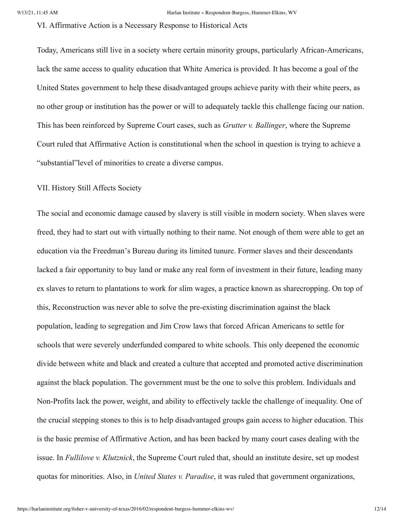VI. Affirmative Action is a Necessary Response to Historical Acts

Today, Americans still live in a society where certain minority groups, particularly African-Americans, lack the same access to quality education that White America is provided. It has become a goal of the United States government to help these disadvantaged groups achieve parity with their white peers, as no other group or institution has the power or will to adequately tackle this challenge facing our nation. This has been reinforced by Supreme Court cases, such as *Grutter v. Ballinger*, where the Supreme Court ruled that Affirmative Action is constitutional when the school in question is trying to achieve a "substantial"level of minorities to create a diverse campus.

#### VII. History Still Affects Society

The social and economic damage caused by slavery is still visible in modern society. When slaves were freed, they had to start out with virtually nothing to their name. Not enough of them were able to get an education via the Freedman's Bureau during its limited tunure. Former slaves and their descendants lacked a fair opportunity to buy land or make any real form of investment in their future, leading many ex slaves to return to plantations to work for slim wages, a practice known as sharecropping. On top of this, Reconstruction was never able to solve the pre-existing discrimination against the black population, leading to segregation and Jim Crow laws that forced African Americans to settle for schools that were severely underfunded compared to white schools. This only deepened the economic divide between white and black and created a culture that accepted and promoted active discrimination against the black population. The government must be the one to solve this problem. Individuals and Non-Profits lack the power, weight, and ability to effectively tackle the challenge of inequality. One of the crucial stepping stones to this is to help disadvantaged groups gain access to higher education. This is the basic premise of Affirmative Action, and has been backed by many court cases dealing with the issue. In *Fullilove v. Klutznick*, the Supreme Court ruled that, should an institute desire, set up modest quotas for minorities. Also, in *United States v. Paradise*, it was ruled that government organizations,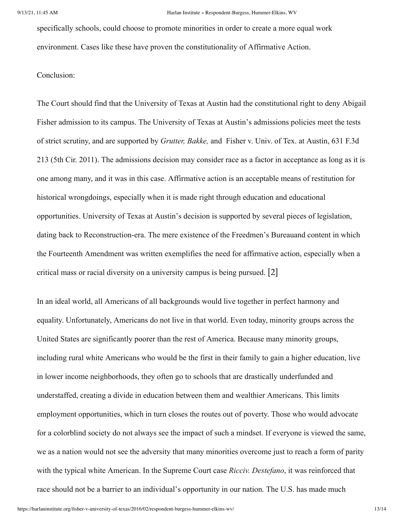specifically schools, could choose to promote minorities in order to create a more equal work environment. Cases like these have proven the constitutionality of Affirmative Action.

#### Conclusion:

The Court should find that the University of Texas at Austin had the constitutional right to deny Abigail Fisher admission to its campus. The University of Texas at Austin's admissions policies meet the tests of strict scrutiny, and are supported by *Grutter, Bakke,* and Fisher v. Univ. of Tex. at Austin, 631 F.3d 213 (5th Cir. 2011). The admissions decision may consider race as a factor in acceptance as long as it is one among many, and it was in this case. Affirmative action is an acceptable means of restitution for historical wrongdoings, especially when it is made right through education and educational opportunities. University of Texas at Austin's decision is supported by several pieces of legislation, dating back to Reconstruction-era. The mere existence of the Freedmen's Bureauand content in which the Fourteenth Amendment was written exemplifies the need for affirmative action, especially when a critical mass or racial diversity on a university campus is being pursued. [2]

In an ideal world, all Americans of all backgrounds would live together in perfect harmony and equality. Unfortunately, Americans do not live in that world. Even today, minority groups across the United States are significantly poorer than the rest of America. Because many minority groups, including rural white Americans who would be the first in their family to gain a higher education, live in lower income neighborhoods, they often go to schools that are drastically underfunded and understaffed, creating a divide in education between them and wealthier Americans. This limits employment opportunities, which in turn closes the routes out of poverty. Those who would advocate for a colorblind society do not always see the impact of such a mindset. If everyone is viewed the same, we as a nation would not see the adversity that many minorities overcome just to reach a form of parity with the typical white American. In the Supreme Court case *Ricciv. Destefano*, it was reinforced that race should not be a barrier to an individual's opportunity in our nation. The U.S. has made much